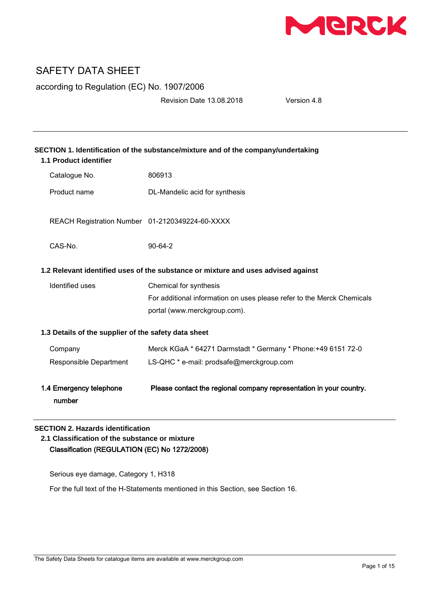

according to Regulation (EC) No. 1907/2006

Revision Date 13.08.2018 Version 4.8

| SECTION 1. Identification of the substance/mixture and of the company/undertaking<br>1.1 Product identifier |                                                                        |  |
|-------------------------------------------------------------------------------------------------------------|------------------------------------------------------------------------|--|
| Catalogue No.                                                                                               | 806913                                                                 |  |
| Product name                                                                                                | DL-Mandelic acid for synthesis                                         |  |
| REACH Registration Number 01-2120349224-60-XXXX                                                             |                                                                        |  |
| $CAS-N0$ .                                                                                                  | $90-64-2$                                                              |  |
| 1.2 Relevant identified uses of the substance or mixture and uses advised against                           |                                                                        |  |
| Identified uses                                                                                             | Chemical for synthesis                                                 |  |
|                                                                                                             | For additional information on uses please refer to the Merck Chemicals |  |
|                                                                                                             | portal (www.merckgroup.com).                                           |  |
| 1.3 Details of the supplier of the safety data sheet                                                        |                                                                        |  |
| Company                                                                                                     | Merck KGaA * 64271 Darmstadt * Germany * Phone: +49 6151 72-0          |  |
| Responsible Department                                                                                      | LS-QHC * e-mail: prodsafe@merckgroup.com                               |  |
| 1.4 Emergency telephone<br>number                                                                           | Please contact the regional company representation in your country.    |  |

# **SECTION 2. Hazards identification**

**2.1 Classification of the substance or mixture** Classification (REGULATION (EC) No 1272/2008)

Serious eye damage, Category 1, H318

For the full text of the H-Statements mentioned in this Section, see Section 16.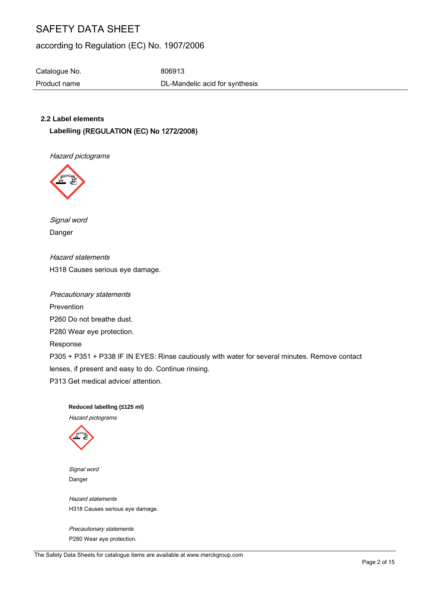# according to Regulation (EC) No. 1907/2006

Catalogue No. 6806913

Product name **DL-Mandelic acid for synthesis** 

# **2.2 Label elements**

**Labelling** (REGULATION (EC) No 1272/2008)

Hazard pictograms



Signal word Danger

Hazard statements H318 Causes serious eye damage.

Precautionary statements Prevention P260 Do not breathe dust. P280 Wear eye protection. Response P305 + P351 + P338 IF IN EYES: Rinse cautiously with water for several minutes. Remove contact lenses, if present and easy to do. Continue rinsing. P313 Get medical advice/ attention.

# **Reduced labelling (≤125 ml)**

Hazard pictograms



 Signal word Danger

 Hazard statements H318 Causes serious eye damage.

 Precautionary statements P280 Wear eye protection.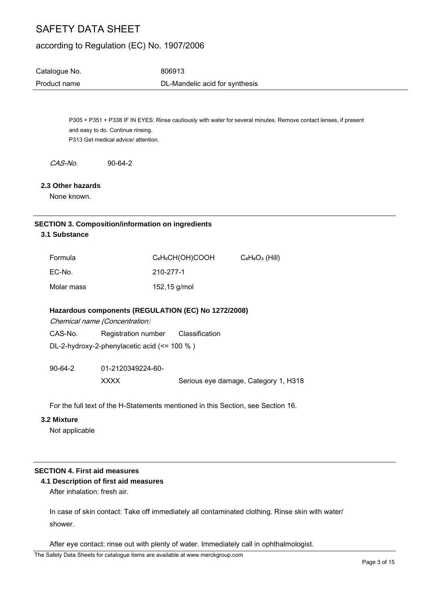# according to Regulation (EC) No. 1907/2006

| Catalogue No. | 806913                         |
|---------------|--------------------------------|
| Product name  | DL-Mandelic acid for synthesis |

P305 + P351 + P338 IF IN EYES: Rinse cautiously with water for several minutes. Remove contact lenses, if present and easy to do. Continue rinsing. P313 Get medical advice/ attention.

CAS-No. 90-64-2

#### **2.3 Other hazards**

None known.

#### **SECTION 3. Composition/information on ingredients**

**3.1 Substance**

| Formula    | C <sub>6</sub> H <sub>5</sub> CH(OH)COOH | $C_8H_8O_3$ (Hill) |
|------------|------------------------------------------|--------------------|
| EC-No.     | 210-277-1                                |                    |
| Molar mass | 152,15 g/mol                             |                    |

#### **Hazardous components (REGULATION (EC) No 1272/2008)**

Chemical name (Concentration)

| CAS-No. | <b>Registration number</b> | Classification |
|---------|----------------------------|----------------|
|         |                            |                |

DL-2-hydroxy-2-phenylacetic acid (<= 100 % )

90-64-2 01-2120349224-60- XXXX Serious eye damage, Category 1, H318

For the full text of the H-Statements mentioned in this Section, see Section 16.

#### **3.2 Mixture**

Not applicable

# **SECTION 4. First aid measures**

# **4.1 Description of first aid measures**

After inhalation: fresh air.

In case of skin contact: Take off immediately all contaminated clothing. Rinse skin with water/ shower.

After eye contact: rinse out with plenty of water. Immediately call in ophthalmologist.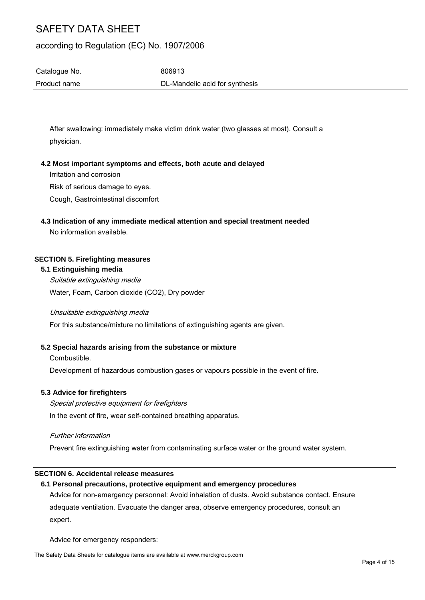# according to Regulation (EC) No. 1907/2006

Catalogue No. 6806913 Product name **DL-Mandelic acid for synthesis** 

After swallowing: immediately make victim drink water (two glasses at most). Consult a physician.

#### **4.2 Most important symptoms and effects, both acute and delayed**

Irritation and corrosion

Risk of serious damage to eyes.

Cough, Gastrointestinal discomfort

# **4.3 Indication of any immediate medical attention and special treatment needed**

No information available.

#### **SECTION 5. Firefighting measures**

#### **5.1 Extinguishing media**

Suitable extinguishing media Water, Foam, Carbon dioxide (CO2), Dry powder

Unsuitable extinguishing media

For this substance/mixture no limitations of extinguishing agents are given.

# **5.2 Special hazards arising from the substance or mixture**

Combustible.

Development of hazardous combustion gases or vapours possible in the event of fire.

## **5.3 Advice for firefighters**

Special protective equipment for firefighters In the event of fire, wear self-contained breathing apparatus.

#### Further information

Prevent fire extinguishing water from contaminating surface water or the ground water system.

#### **SECTION 6. Accidental release measures**

#### **6.1 Personal precautions, protective equipment and emergency procedures**

Advice for non-emergency personnel: Avoid inhalation of dusts. Avoid substance contact. Ensure adequate ventilation. Evacuate the danger area, observe emergency procedures, consult an expert.

Advice for emergency responders: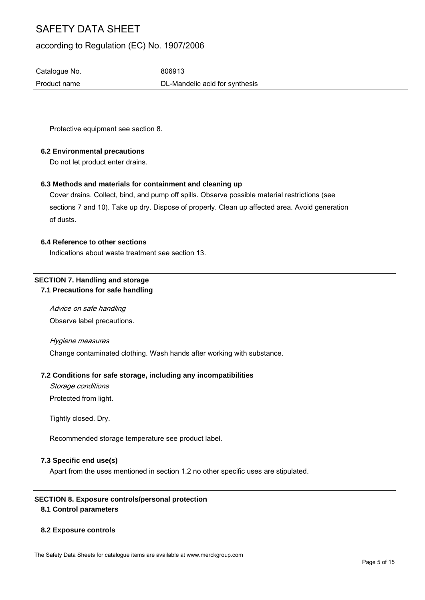# according to Regulation (EC) No. 1907/2006

Catalogue No. 6806913

Product name DL-Mandelic acid for synthesis

Protective equipment see section 8.

# **6.2 Environmental precautions**

Do not let product enter drains.

# **6.3 Methods and materials for containment and cleaning up**

Cover drains. Collect, bind, and pump off spills. Observe possible material restrictions (see sections 7 and 10). Take up dry. Dispose of properly. Clean up affected area. Avoid generation of dusts.

## **6.4 Reference to other sections**

Indications about waste treatment see section 13.

# **SECTION 7. Handling and storage 7.1 Precautions for safe handling**

Advice on safe handling Observe label precautions.

Hygiene measures

Change contaminated clothing. Wash hands after working with substance.

## **7.2 Conditions for safe storage, including any incompatibilities**

Storage conditions

Protected from light.

Tightly closed. Dry.

Recommended storage temperature see product label.

## **7.3 Specific end use(s)**

Apart from the uses mentioned in section 1.2 no other specific uses are stipulated.

## **SECTION 8. Exposure controls/personal protection**

## **8.1 Control parameters**

## **8.2 Exposure controls**

The Safety Data Sheets for catalogue items are available at www.merckgroup.com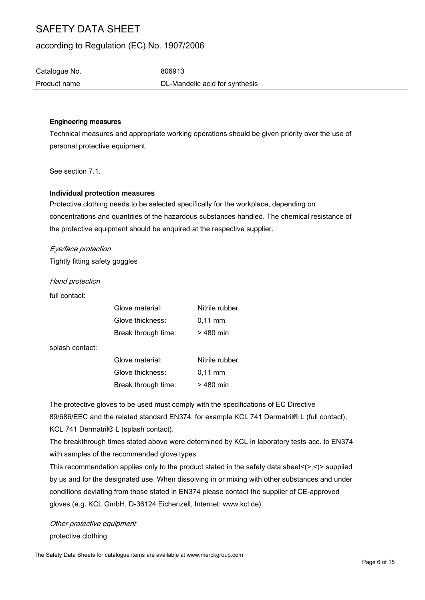# according to Regulation (EC) No. 1907/2006

Catalogue No. 6806913 Product name **DL-Mandelic acid for synthesis** 

#### Engineering measures

Technical measures and appropriate working operations should be given priority over the use of personal protective equipment.

See section 7.1.

#### **Individual protection measures**

Protective clothing needs to be selected specifically for the workplace, depending on concentrations and quantities of the hazardous substances handled. The chemical resistance of the protective equipment should be enquired at the respective supplier.

#### Eye/face protection

Tightly fitting safety goggles

Hand protection

full contact:

| Glove material:     | Nitrile rubber    |
|---------------------|-------------------|
| Glove thickness:    | $0.11 \text{ mm}$ |
| Break through time: | $>480$ min        |

splash contact:

| Glove material:     | Nitrile rubber    |
|---------------------|-------------------|
| Glove thickness:    | $0.11 \text{ mm}$ |
| Break through time: | $>480$ min        |

The protective gloves to be used must comply with the specifications of EC Directive 89/686/EEC and the related standard EN374, for example KCL 741 Dermatril® L (full contact), KCL 741 Dermatril® L (splash contact).

The breakthrough times stated above were determined by KCL in laboratory tests acc. to EN374 with samples of the recommended glove types.

This recommendation applies only to the product stated in the safety data sheet $\langle \rangle$ , $\langle \rangle$  supplied by us and for the designated use. When dissolving in or mixing with other substances and under conditions deviating from those stated in EN374 please contact the supplier of CE-approved gloves (e.g. KCL GmbH, D-36124 Eichenzell, Internet: www.kcl.de).

Other protective equipment protective clothing

The Safety Data Sheets for catalogue items are available at www.merckgroup.com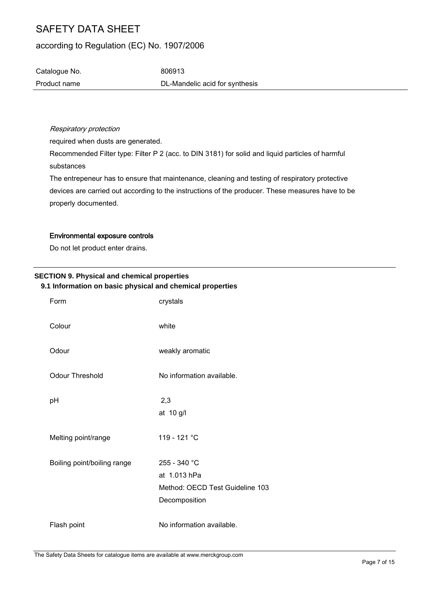# according to Regulation (EC) No. 1907/2006

Catalogue No. 6806913 Product name **DL-Mandelic acid for synthesis** 

Respiratory protection

required when dusts are generated.

Recommended Filter type: Filter P 2 (acc. to DIN 3181) for solid and liquid particles of harmful substances

The entrepeneur has to ensure that maintenance, cleaning and testing of respiratory protective devices are carried out according to the instructions of the producer. These measures have to be properly documented.

#### Environmental exposure controls

Do not let product enter drains.

# **SECTION 9. Physical and chemical properties 9.1 Information on basic physical and chemical properties**

| Form                        | crystals                                                                         |
|-----------------------------|----------------------------------------------------------------------------------|
| Colour                      | white                                                                            |
| Odour                       | weakly aromatic                                                                  |
| <b>Odour Threshold</b>      | No information available.                                                        |
| рH                          | 2,3<br>at 10 g/l                                                                 |
| Melting point/range         | 119 - 121 °C                                                                     |
| Boiling point/boiling range | 255 - 340 °C<br>at 1.013 hPa<br>Method: OECD Test Guideline 103<br>Decomposition |
| Flash point                 | No information available.                                                        |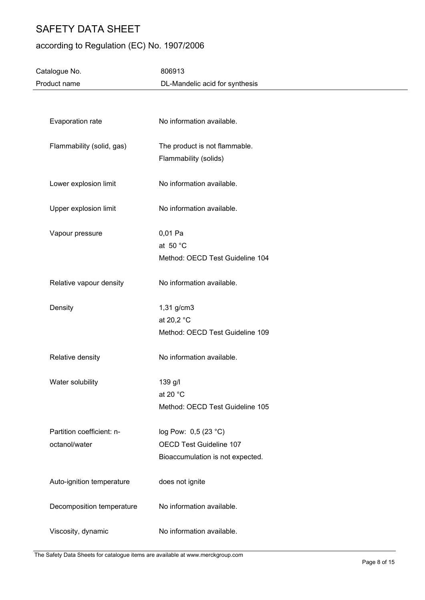# according to Regulation (EC) No. 1907/2006

| Catalogue No.             | 806913                           |
|---------------------------|----------------------------------|
| Product name              | DL-Mandelic acid for synthesis   |
|                           |                                  |
|                           |                                  |
| Evaporation rate          | No information available.        |
|                           |                                  |
| Flammability (solid, gas) | The product is not flammable.    |
|                           | Flammability (solids)            |
| Lower explosion limit     | No information available.        |
|                           |                                  |
| Upper explosion limit     | No information available.        |
|                           |                                  |
| Vapour pressure           | 0,01 Pa                          |
|                           | at 50 $^{\circ}$ C               |
|                           | Method: OECD Test Guideline 104  |
| Relative vapour density   | No information available.        |
|                           |                                  |
| Density                   | 1,31 g/cm3                       |
|                           | at 20,2 °C                       |
|                           | Method: OECD Test Guideline 109  |
| Relative density          | No information available.        |
|                           |                                  |
| Water solubility          | 139 g/l                          |
|                           | at 20 $^{\circ}$ C               |
|                           | Method: OECD Test Guideline 105  |
|                           |                                  |
| Partition coefficient: n- | log Pow: 0,5 (23 °C)             |
| octanol/water             | OECD Test Guideline 107          |
|                           | Bioaccumulation is not expected. |
| Auto-ignition temperature | does not ignite                  |
|                           |                                  |
| Decomposition temperature | No information available.        |
| Viscosity, dynamic        | No information available.        |
|                           |                                  |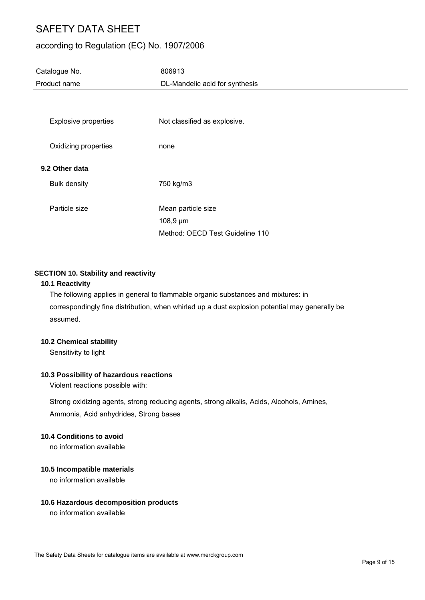# according to Regulation (EC) No. 1907/2006

| Catalogue No.<br>Product name         | 806913<br>DL-Mandelic acid for synthesis                                 |
|---------------------------------------|--------------------------------------------------------------------------|
| <b>Explosive properties</b>           | Not classified as explosive.                                             |
| Oxidizing properties                  | none                                                                     |
| 9.2 Other data<br><b>Bulk density</b> | 750 kg/m3                                                                |
| Particle size                         | Mean particle size<br>$108,9 \,\mu m$<br>Method: OECD Test Guideline 110 |

# **SECTION 10. Stability and reactivity**

## **10.1 Reactivity**

The following applies in general to flammable organic substances and mixtures: in correspondingly fine distribution, when whirled up a dust explosion potential may generally be assumed.

## **10.2 Chemical stability**

Sensitivity to light

## **10.3 Possibility of hazardous reactions**

Violent reactions possible with:

Strong oxidizing agents, strong reducing agents, strong alkalis, Acids, Alcohols, Amines, Ammonia, Acid anhydrides, Strong bases

## **10.4 Conditions to avoid**

no information available

## **10.5 Incompatible materials**

no information available

# **10.6 Hazardous decomposition products**

no information available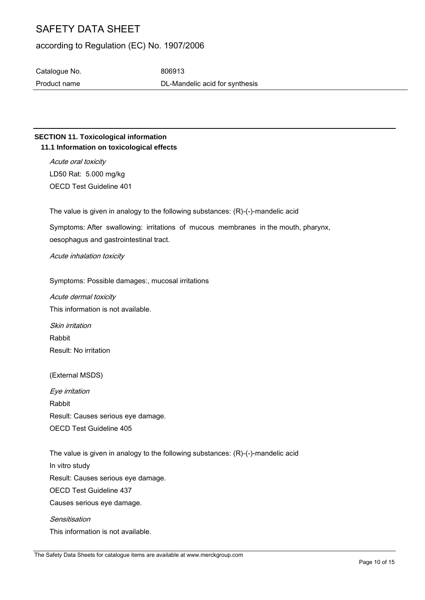# according to Regulation (EC) No. 1907/2006

Catalogue No. 6806913

Product name DL-Mandelic acid for synthesis

# **SECTION 11. Toxicological information 11.1 Information on toxicological effects**

Acute oral toxicity LD50 Rat: 5.000 mg/kg OECD Test Guideline 401

The value is given in analogy to the following substances: (R)-(-)-mandelic acid

Symptoms: After swallowing: irritations of mucous membranes in the mouth, pharynx, oesophagus and gastrointestinal tract.

# Acute inhalation toxicity

Symptoms: Possible damages:, mucosal irritations

Acute dermal toxicity This information is not available.

Skin irritation Rabbit Result: No irritation

(External MSDS)

Eye irritation Rabbit Result: Causes serious eye damage. OECD Test Guideline 405

The value is given in analogy to the following substances: (R)-(-)-mandelic acid In vitro study Result: Causes serious eye damage. OECD Test Guideline 437 Causes serious eye damage. **Sensitisation** This information is not available.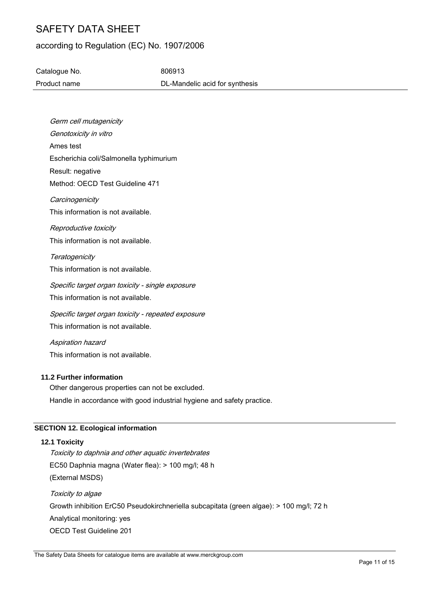# according to Regulation (EC) No. 1907/2006

Catalogue No. 6806913 Product name DL-Mandelic acid for synthesis

Germ cell mutagenicity Genotoxicity in vitro Ames test Escherichia coli/Salmonella typhimurium Result: negative Method: OECD Test Guideline 471 **Carcinogenicity** This information is not available. Reproductive toxicity This information is not available. **Teratogenicity** This information is not available. Specific target organ toxicity - single exposure This information is not available. Specific target organ toxicity - repeated exposure This information is not available. Aspiration hazard This information is not available. **11.2 Further information**

Other dangerous properties can not be excluded. Handle in accordance with good industrial hygiene and safety practice.

# **SECTION 12. Ecological information**

#### **12.1 Toxicity**

Toxicity to daphnia and other aquatic invertebrates EC50 Daphnia magna (Water flea): > 100 mg/l; 48 h (External MSDS) Toxicity to algae Growth inhibition ErC50 Pseudokirchneriella subcapitata (green algae): > 100 mg/l; 72 h Analytical monitoring: yes OECD Test Guideline 201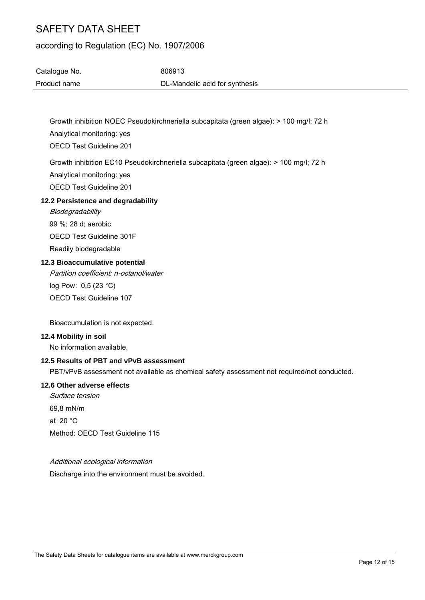# according to Regulation (EC) No. 1907/2006

| Catalogue No. | 806913                         |
|---------------|--------------------------------|
| Product name  | DL-Mandelic acid for synthesis |

Growth inhibition NOEC Pseudokirchneriella subcapitata (green algae): > 100 mg/l; 72 h Analytical monitoring: yes

OECD Test Guideline 201

Growth inhibition EC10 Pseudokirchneriella subcapitata (green algae): > 100 mg/l; 72 h

Analytical monitoring: yes

OECD Test Guideline 201

# **12.2 Persistence and degradability**

**Biodegradability** 99 %; 28 d; aerobic OECD Test Guideline 301F Readily biodegradable

# **12.3 Bioaccumulative potential**

Partition coefficient: n-octanol/water log Pow: 0,5 (23 °C)

OECD Test Guideline 107

Bioaccumulation is not expected.

## **12.4 Mobility in soil**

No information available.

# **12.5 Results of PBT and vPvB assessment**

PBT/vPvB assessment not available as chemical safety assessment not required/not conducted.

# **12.6 Other adverse effects**

Surface tension 69,8 mN/m at 20 °C Method: OECD Test Guideline 115

## Additional ecological information

Discharge into the environment must be avoided.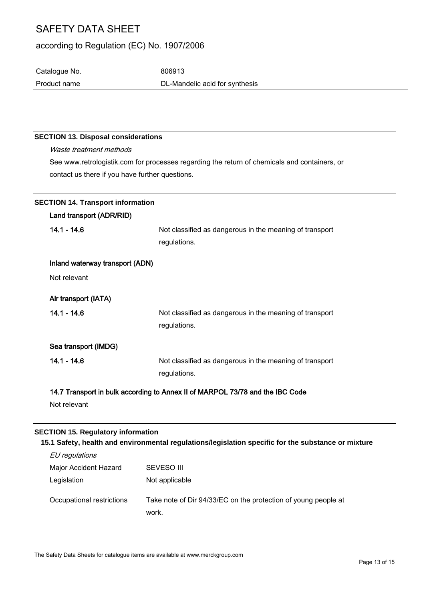# according to Regulation (EC) No. 1907/2006

Catalogue No. 6806913 Product name **DL-Mandelic acid for synthesis** 

# **SECTION 13. Disposal considerations**

Waste treatment methods See www.retrologistik.com for processes regarding the return of chemicals and containers, or contact us there if you have further questions.

| <b>SECTION 14. Transport information</b> |                                                                               |  |
|------------------------------------------|-------------------------------------------------------------------------------|--|
| Land transport (ADR/RID)                 |                                                                               |  |
| $14.1 - 14.6$                            | Not classified as dangerous in the meaning of transport                       |  |
|                                          | regulations.                                                                  |  |
| Inland waterway transport (ADN)          |                                                                               |  |
| Not relevant                             |                                                                               |  |
| Air transport (IATA)                     |                                                                               |  |
| $14.1 - 14.6$                            | Not classified as dangerous in the meaning of transport                       |  |
|                                          | regulations.                                                                  |  |
| Sea transport (IMDG)                     |                                                                               |  |
| $14.1 - 14.6$                            | Not classified as dangerous in the meaning of transport                       |  |
|                                          | regulations.                                                                  |  |
|                                          | 14.7 Transport in bulk according to Annex II of MARPOL 73/78 and the IBC Code |  |
| Not relevant                             |                                                                               |  |

## **SECTION 15. Regulatory information**

**15.1 Safety, health and environmental regulations/legislation specific for the substance or mixture**

| EU regulations            |                                                                         |
|---------------------------|-------------------------------------------------------------------------|
| Major Accident Hazard     | <b>SEVESO III</b>                                                       |
| Legislation               | Not applicable                                                          |
| Occupational restrictions | Take note of Dir 94/33/EC on the protection of young people at<br>work. |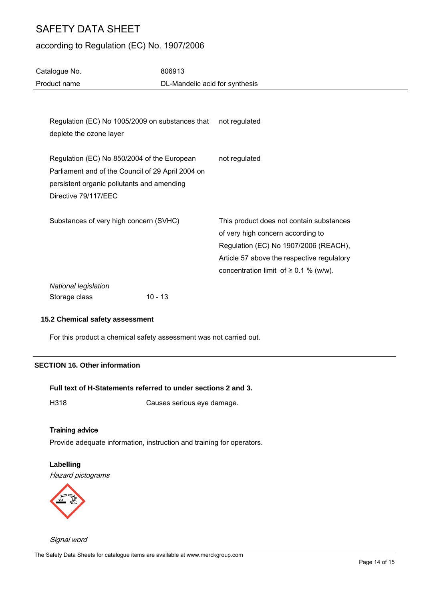# according to Regulation (EC) No. 1907/2006

| Catalogue No.                                                                                                                                                          | 806913    |                                                                                                                                                                                                                    |
|------------------------------------------------------------------------------------------------------------------------------------------------------------------------|-----------|--------------------------------------------------------------------------------------------------------------------------------------------------------------------------------------------------------------------|
| Product name                                                                                                                                                           |           | DL-Mandelic acid for synthesis                                                                                                                                                                                     |
|                                                                                                                                                                        |           |                                                                                                                                                                                                                    |
| Regulation (EC) No 1005/2009 on substances that<br>deplete the ozone layer                                                                                             |           | not regulated                                                                                                                                                                                                      |
| Regulation (EC) No 850/2004 of the European<br>Parliament and of the Council of 29 April 2004 on<br>persistent organic pollutants and amending<br>Directive 79/117/EEC |           | not regulated                                                                                                                                                                                                      |
| Substances of very high concern (SVHC)                                                                                                                                 |           | This product does not contain substances<br>of very high concern according to<br>Regulation (EC) No 1907/2006 (REACH),<br>Article 57 above the respective regulatory<br>concentration limit of $\geq$ 0.1 % (w/w). |
| National legislation<br>Storage class                                                                                                                                  | $10 - 13$ |                                                                                                                                                                                                                    |

# **15.2 Chemical safety assessment**

For this product a chemical safety assessment was not carried out.

# **SECTION 16. Other information**

#### **Full text of H-Statements referred to under sections 2 and 3.**

H318 Causes serious eye damage.

## Training advice

Provide adequate information, instruction and training for operators.

# **Labelling**

Hazard pictograms



Signal word